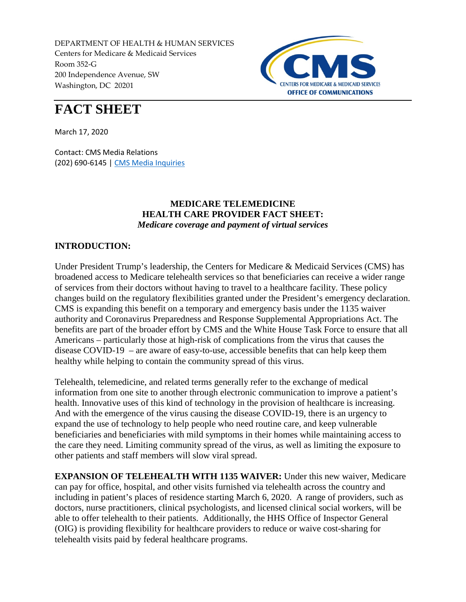DEPARTMENT OF HEALTH & HUMAN SERVICES Centers for Medicare & Medicaid Services Room 352-G 200 Independence Avenue, SW Washington, DC 20201



# **FACT SHEET**

March 17, 2020

Contact: CMS Media Relations (202) 690-6145 | [CMS Media Inquiries](http://go.cms.gov/media)

## **MEDICARE TELEMEDICINE HEALTH CARE PROVIDER FACT SHEET:** *Medicare coverage and payment of virtual services*

## **INTRODUCTION:**

Under President Trump's leadership, the Centers for Medicare & Medicaid Services (CMS) has broadened access to Medicare telehealth services so that beneficiaries can receive a wider range of services from their doctors without having to travel to a healthcare facility. These policy changes build on the regulatory flexibilities granted under the President's emergency declaration. CMS is expanding this benefit on a temporary and emergency basis under the 1135 waiver authority and Coronavirus Preparedness and Response Supplemental Appropriations Act. The benefits are part of the broader effort by CMS and the White House Task Force to ensure that all Americans – particularly those at high-risk of complications from the virus that causes the disease COVID-19 – are aware of easy-to-use, accessible benefits that can help keep them healthy while helping to contain the community spread of this virus.

Telehealth, telemedicine, and related terms generally refer to the exchange of medical information from one site to another through electronic communication to improve a patient's health. Innovative uses of this kind of technology in the provision of healthcare is increasing. And with the emergence of the virus causing the disease COVID-19, there is an urgency to expand the use of technology to help people who need routine care, and keep vulnerable beneficiaries and beneficiaries with mild symptoms in their homes while maintaining access to the care they need. Limiting community spread of the virus, as well as limiting the exposure to other patients and staff members will slow viral spread.

**EXPANSION OF TELEHEALTH WITH 1135 WAIVER:** Under this new waiver, Medicare can pay for office, hospital, and other visits furnished via telehealth across the country and including in patient's places of residence starting March 6, 2020. A range of providers, such as doctors, nurse practitioners, clinical psychologists, and licensed clinical social workers, will be able to offer telehealth to their patients. Additionally, the HHS Office of Inspector General (OIG) is providing flexibility for healthcare providers to reduce or waive cost-sharing for telehealth visits paid by federal healthcare programs.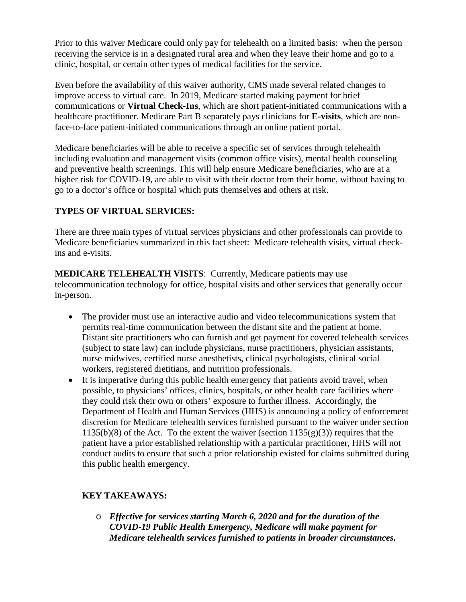Prior to this waiver Medicare could only pay for telehealth on a limited basis: when the person receiving the service is in a designated rural area and when they leave their home and go to a clinic, hospital, or certain other types of medical facilities for the service.

Even before the availability of this waiver authority, CMS made several related changes to improve access to virtual care. In 2019, Medicare started making payment for brief communications or **Virtual Check-Ins**, which are short patient-initiated communications with a healthcare practitioner. Medicare Part B separately pays clinicians for **E-visits**, which are nonface-to-face patient-initiated communications through an online patient portal.

Medicare beneficiaries will be able to receive a specific set of services through telehealth including evaluation and management visits (common office visits), mental health counseling and preventive health screenings. This will help ensure Medicare beneficiaries, who are at a higher risk for COVID-19, are able to visit with their doctor from their home, without having to go to a doctor's office or hospital which puts themselves and others at risk.

# **TYPES OF VIRTUAL SERVICES:**

There are three main types of virtual services physicians and other professionals can provide to Medicare beneficiaries summarized in this fact sheet: Medicare telehealth visits, virtual checkins and e-visits.

**MEDICARE TELEHEALTH VISITS**: Currently, Medicare patients may use telecommunication technology for office, hospital visits and other services that generally occur in-person.

- The provider must use an interactive audio and video telecommunications system that permits real-time communication between the distant site and the patient at home. Distant site practitioners who can furnish and get payment for covered telehealth services (subject to state law) can include physicians, nurse practitioners, physician assistants, nurse midwives, certified nurse anesthetists, clinical psychologists, clinical social workers, registered dietitians, and nutrition professionals.
- It is imperative during this public health emergency that patients avoid travel, when possible, to physicians' offices, clinics, hospitals, or other health care facilities where they could risk their own or others' exposure to further illness. Accordingly, the Department of Health and Human Services (HHS) is announcing a policy of enforcement discretion for Medicare telehealth services furnished pursuant to the waiver under section 1135(b)(8) of the Act. To the extent the waiver (section  $1135(g)(3)$ ) requires that the patient have a prior established relationship with a particular practitioner, HHS will not conduct audits to ensure that such a prior relationship existed for claims submitted during this public health emergency.

# **KEY TAKEAWAYS:**

o *Effective for services starting March 6, 2020 and for the duration of the COVID-19 Public Health Emergency, Medicare will make payment for Medicare telehealth services furnished to patients in broader circumstances.*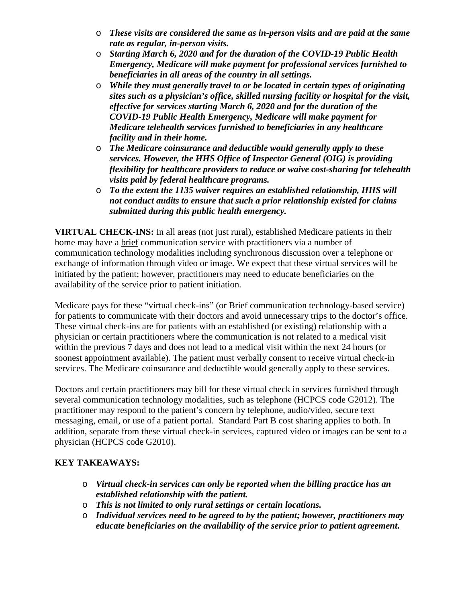- o *These visits are considered the same as in-person visits and are paid at the same rate as regular, in-person visits.*
- o *Starting March 6, 2020 and for the duration of the COVID-19 Public Health Emergency, Medicare will make payment for professional services furnished to beneficiaries in all areas of the country in all settings.*
- o *While they must generally travel to or be located in certain types of originating sites such as a physician's office, skilled nursing facility or hospital for the visit, effective for services starting March 6, 2020 and for the duration of the COVID-19 Public Health Emergency, Medicare will make payment for Medicare telehealth services furnished to beneficiaries in any healthcare facility and in their home.*
- o *The Medicare coinsurance and deductible would generally apply to these services. However, the HHS Office of Inspector General (OIG) is providing flexibility for healthcare providers to reduce or waive cost-sharing for telehealth visits paid by federal healthcare programs.*
- o *To the extent the 1135 waiver requires an established relationship, HHS will not conduct audits to ensure that such a prior relationship existed for claims submitted during this public health emergency.*

**VIRTUAL CHECK-INS:** In all areas (not just rural), established Medicare patients in their home may have a brief communication service with practitioners via a number of communication technology modalities including synchronous discussion over a telephone or exchange of information through video or image. We expect that these virtual services will be initiated by the patient; however, practitioners may need to educate beneficiaries on the availability of the service prior to patient initiation.

Medicare pays for these "virtual check-ins" (or Brief communication technology-based service) for patients to communicate with their doctors and avoid unnecessary trips to the doctor's office. These virtual check-ins are for patients with an established (or existing) relationship with a physician or certain practitioners where the communication is not related to a medical visit within the previous 7 days and does not lead to a medical visit within the next 24 hours (or soonest appointment available). The patient must verbally consent to receive virtual check-in services. The Medicare coinsurance and deductible would generally apply to these services.

Doctors and certain practitioners may bill for these virtual check in services furnished through several communication technology modalities, such as telephone (HCPCS code G2012). The practitioner may respond to the patient's concern by telephone, audio/video, secure text messaging, email, or use of a patient portal. Standard Part B cost sharing applies to both. In addition, separate from these virtual check-in services, captured video or images can be sent to a physician (HCPCS code G2010).

# **KEY TAKEAWAYS:**

- o *Virtual check-in services can only be reported when the billing practice has an established relationship with the patient.*
- o *This is not limited to only rural settings or certain locations.*
- o *Individual services need to be agreed to by the patient; however, practitioners may educate beneficiaries on the availability of the service prior to patient agreement.*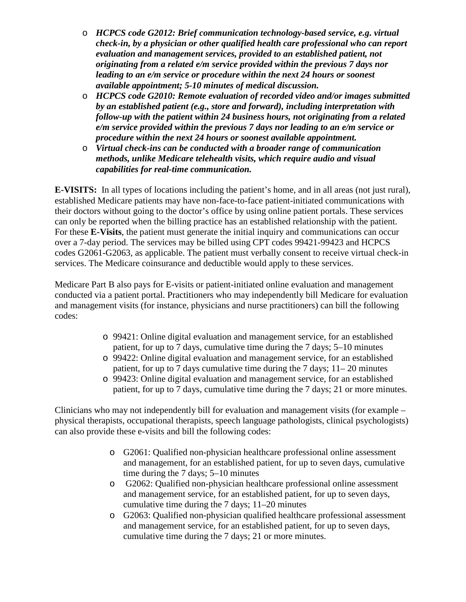- o *HCPCS code G2012: Brief communication technology-based service, e.g. virtual check-in, by a physician or other qualified health care professional who can report evaluation and management services, provided to an established patient, not originating from a related e/m service provided within the previous 7 days nor leading to an e/m service or procedure within the next 24 hours or soonest available appointment; 5-10 minutes of medical discussion.*
- o *HCPCS code G2010: Remote evaluation of recorded video and/or images submitted by an established patient (e.g., store and forward), including interpretation with follow-up with the patient within 24 business hours, not originating from a related e/m service provided within the previous 7 days nor leading to an e/m service or procedure within the next 24 hours or soonest available appointment.*
- o *Virtual check-ins can be conducted with a broader range of communication methods, unlike Medicare telehealth visits, which require audio and visual capabilities for real-time communication.*

**E-VISITS:** In all types of locations including the patient's home, and in all areas (not just rural), established Medicare patients may have non-face-to-face patient-initiated communications with their doctors without going to the doctor's office by using online patient portals. These services can only be reported when the billing practice has an established relationship with the patient. For these **E-Visits**, the patient must generate the initial inquiry and communications can occur over a 7-day period. The services may be billed using CPT codes 99421-99423 and HCPCS codes G2061-G2063, as applicable. The patient must verbally consent to receive virtual check-in services. The Medicare coinsurance and deductible would apply to these services.

Medicare Part B also pays for E-visits or patient-initiated online evaluation and management conducted via a patient portal. Practitioners who may independently bill Medicare for evaluation and management visits (for instance, physicians and nurse practitioners) can bill the following codes:

- o 99421: Online digital evaluation and management service, for an established patient, for up to 7 days, cumulative time during the 7 days; 5–10 minutes
- o 99422: Online digital evaluation and management service, for an established patient, for up to 7 days cumulative time during the 7 days; 11– 20 minutes
- o 99423: Online digital evaluation and management service, for an established patient, for up to 7 days, cumulative time during the 7 days; 21 or more minutes.

Clinicians who may not independently bill for evaluation and management visits (for example – physical therapists, occupational therapists, speech language pathologists, clinical psychologists) can also provide these e-visits and bill the following codes:

- o G2061: Qualified non-physician healthcare professional online assessment and management, for an established patient, for up to seven days, cumulative time during the 7 days; 5–10 minutes
- o G2062: Qualified non-physician healthcare professional online assessment and management service, for an established patient, for up to seven days, cumulative time during the 7 days; 11–20 minutes
- o G2063: Qualified non-physician qualified healthcare professional assessment and management service, for an established patient, for up to seven days, cumulative time during the 7 days; 21 or more minutes.